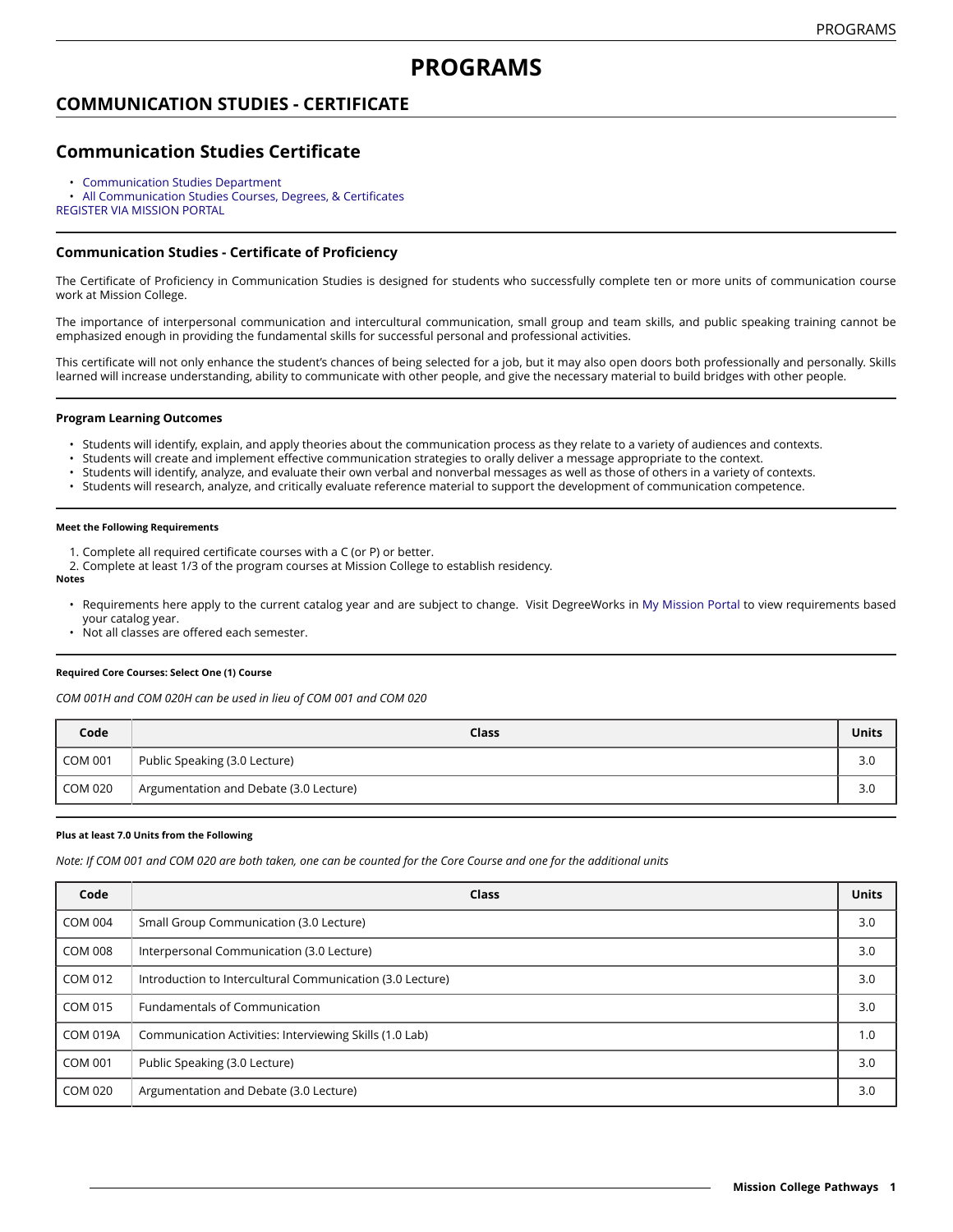# **PROGRAMS**

## **COMMUNICATION STUDIES - CERTIFICATE**

## **Communication Studies Certificate**

- [Communication Studies Department](https://missioncollege.edu/depts/communication-studies/index.html)
- All [Communication](http://majors.missioncollege.edu/current/courses/com.html) Studies Courses, Degrees, & Certificates
- [REGISTER](https://web.wvm.edu/) VIA MISSION PORTAL

### **Communication Studies - Certificate of Proficiency**

The Certificate of Proficiency in Communication Studies is designed for students who successfully complete ten or more units of communication course work at Mission College.

The importance of interpersonal communication and intercultural communication, small group and team skills, and public speaking training cannot be emphasized enough in providing the fundamental skills for successful personal and professional activities.

This certificate will not only enhance the student's chances of being selected for a job, but it may also open doors both professionally and personally. Skills learned will increase understanding, ability to communicate with other people, and give the necessary material to build bridges with other people.

#### **Program Learning Outcomes**

- Students will identify, explain, and apply theories about the communication process as they relate to a variety of audiences and contexts.
- Students will create and implement effective communication strategies to orally deliver a message appropriate to the context.
- Students will identify, analyze, and evaluate their own verbal and nonverbal messages as well as those of others in a variety of contexts.
- Students will research, analyze, and critically evaluate reference material to support the development of communication competence.

#### **Meet the Following Requirements**

- 1. Complete all required certificate courses with a C (or P) or better.
- 2. Complete at least 1/3 of the program courses at Mission College to establish residency.

### **Notes**

- Requirements here apply to the current catalog year and are subject to change. Visit DegreeWorks in [My Mission Portal](https://wvmccd.sharepoint.com/sites/MCPortal) to view requirements based your catalog year.
- Not all classes are offered each semester.

#### **Required Core Courses: Select One (1) Course**

*COM 001H and COM 020H can be used in lieu of COM 001 and COM 020*

| Code           | Class                                  | Units |
|----------------|----------------------------------------|-------|
| <b>COM 001</b> | Public Speaking (3.0 Lecture)          | 3.0   |
| COM 020        | Argumentation and Debate (3.0 Lecture) | 3.0   |

#### **Plus at least 7.0 Units from the Following**

Note: If COM 001 and COM 020 are both taken, one can be counted for the Core Course and one for the additional units

| Code            | Class                                                     | <b>Units</b> |
|-----------------|-----------------------------------------------------------|--------------|
| <b>COM 004</b>  | Small Group Communication (3.0 Lecture)                   | 3.0          |
| <b>COM 008</b>  | Interpersonal Communication (3.0 Lecture)                 | 3.0          |
| COM 012         | Introduction to Intercultural Communication (3.0 Lecture) | 3.0          |
| <b>COM 015</b>  | <b>Fundamentals of Communication</b>                      | 3.0          |
| <b>COM 019A</b> | Communication Activities: Interviewing Skills (1.0 Lab)   | 1.0          |
| <b>COM 001</b>  | Public Speaking (3.0 Lecture)                             | 3.0          |
| <b>COM 020</b>  | Argumentation and Debate (3.0 Lecture)                    | 3.0          |